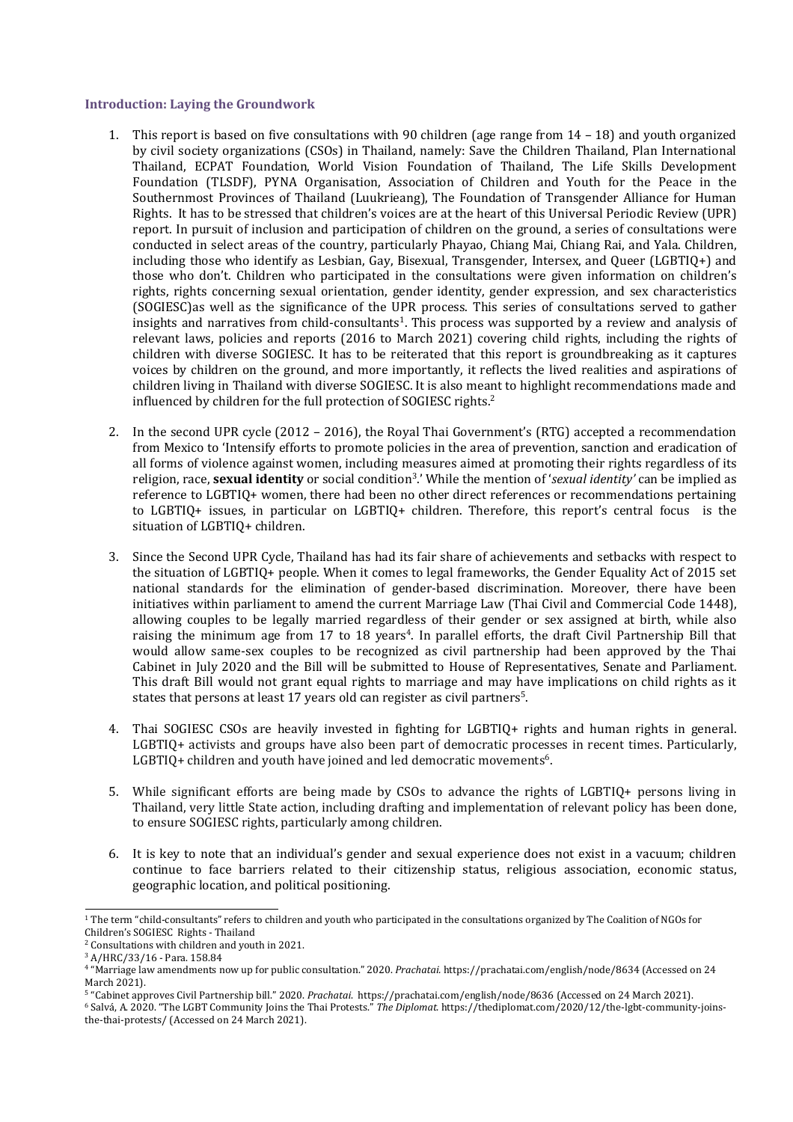### **Introduction: Laying the Groundwork**

- 1. This report is based on five consultations with 90 children (age range from 14 18) and youth organized by civil society organizations (CSOs) in Thailand, namely: Save the Children Thailand, Plan International Thailand, ECPAT Foundation, World Vision Foundation of Thailand, The Life Skills Development Foundation (TLSDF), PYNA Organisation, Association of Children and Youth for the Peace in the Southernmost Provinces of Thailand (Luukrieang), The Foundation of Transgender Alliance for Human Rights. It has to be stressed that children'<sup>s</sup> voices are at the heart of this Universal Periodic Review (UPR) report. In pursuit of inclusion and participation of children on the ground, <sup>a</sup> series of consultations were conducted in select areas of the country, particularly Phayao, Chiang Mai, Chiang Rai, and Yala. Children, including those who identify as Lesbian, Gay, Bisexual, Transgender, Intersex, and Queer (LGBTIQ+) and those who don't. Children who participated in the consultations were given information on children'<sup>s</sup> rights, rights concerning sexual orientation, gender identity, gender expression, and sex characteristics (SOGIESC)as well as the significance of the UPR process. This series of consultations served to gather insights and narratives from child-consultants<sup>1</sup>. This process was supported by a review and analysis of relevant laws, policies and reports (2016 to March 2021) covering child rights, including the rights of children with diverse SOGIESC. It has to be reiterated that this report is groundbreaking as it captures voices by children on the ground, and more importantly, it reflects the lived realities and aspirations of children living in Thailand with diverse SOGIESC. It is also meant to highlight recommendations made and influenced by children for the full protection of SOGIESC rights. $^{\rm 2}$
- 2. In the second UPR cycle (2012 2016), the Royal Thai Government'<sup>s</sup> (RTG) accepted <sup>a</sup> recommendation from Mexico to 'Intensify efforts to promote policies in the area of prevention, sanction and eradication of all forms of violence against women, including measures aimed at promoting their rights regardless of its religion, race, **sexual identity** or social condition<sup>3</sup> .' While the mention of '*sexual identity'* can be implied as reference to LGBTIQ+ women, there had been no other direct references or recommendations pertaining to LGBTIQ+ issues, in particular on LGBTIQ+ children. Therefore, this report'<sup>s</sup> central focus is the situation of LGBTIQ+ children.
- 3. Since the Second UPR Cycle, Thailand has had its fair share of achievements and setbacks with respect to the situation of LGBTIQ+ people. When it comes to legal frameworks, the Gender Equality Act of 2015 set national standards for the elimination of gender-based discrimination. Moreover, there have been initiatives within parliament to amend the current Marriage Law (Thai Civil and Commercial Code 1448), allowing couples to be legally married regardless of their gender or sex assigned at birth, while also raising the minimum age from 17 to 18 years 4 . In parallel efforts, the draft Civil Partnership Bill that would allow same-sex couples to be recognized as civil partnership had been approved by the Thai Cabinet in July 2020 and the Bill will be submitted to House of Representatives, Senate and Parliament. This draft Bill would not gran<sup>t</sup> equal rights to marriage and may have implications on child rights as it states that persons at least 17 years old can register as civil partners $^5\!$ .
- 4. Thai SOGIESC CSOs are heavily invested in fighting for LGBTIQ+ rights and human rights in general. LGBTIQ+ activists and groups have also been part of democratic processes in recent times. Particularly, LGBTIQ+ children and youth have joined and led democratic movements $^6$ .
- 5. While significant efforts are being made by CSOs to advance the rights of LGBTIQ+ persons living in Thailand, very little State action, including drafting and implementation of relevant policy has been done, to ensure SOGIESC rights, particularly among children.
- 6. It is key to note that an individual'<sup>s</sup> gender and sexual experience does not exist in <sup>a</sup> vacuum; children continue to face barriers related to their citizenship status, religious association, economic status, geographic location, and political positioning.

<sup>&</sup>lt;sup>1</sup> The term "child-consultants" refers to children and youth who participated in the consultations organized by The Coalition of NGOs for Children'<sup>s</sup> SOGIESC Rights - Thailand

<sup>2</sup> Consultations with children and youth in 2021.

<sup>3</sup> A/HRC/33/16 - Para. 158.84

<sup>4</sup> "Marriage law amendments now up for public consultation." 2020. *Prachatai.* https://prachatai.com/english/node/8634 (Accessed on 24 March 2021).

<sup>5</sup> "Cabinet approves Civil Partnership bill." 2020. *Prachatai*. https://prachatai.com/english/node/8636 (Accessed on 24 March 2021).

<sup>6</sup> Salvá, A. 2020. "The LGBT Community Joins the Thai Protests." *The Diplomat.* https://thediplomat.com/2020/12/the-lgbt-community-joinsthe-thai-protests/ (Accessed on 24 March 2021).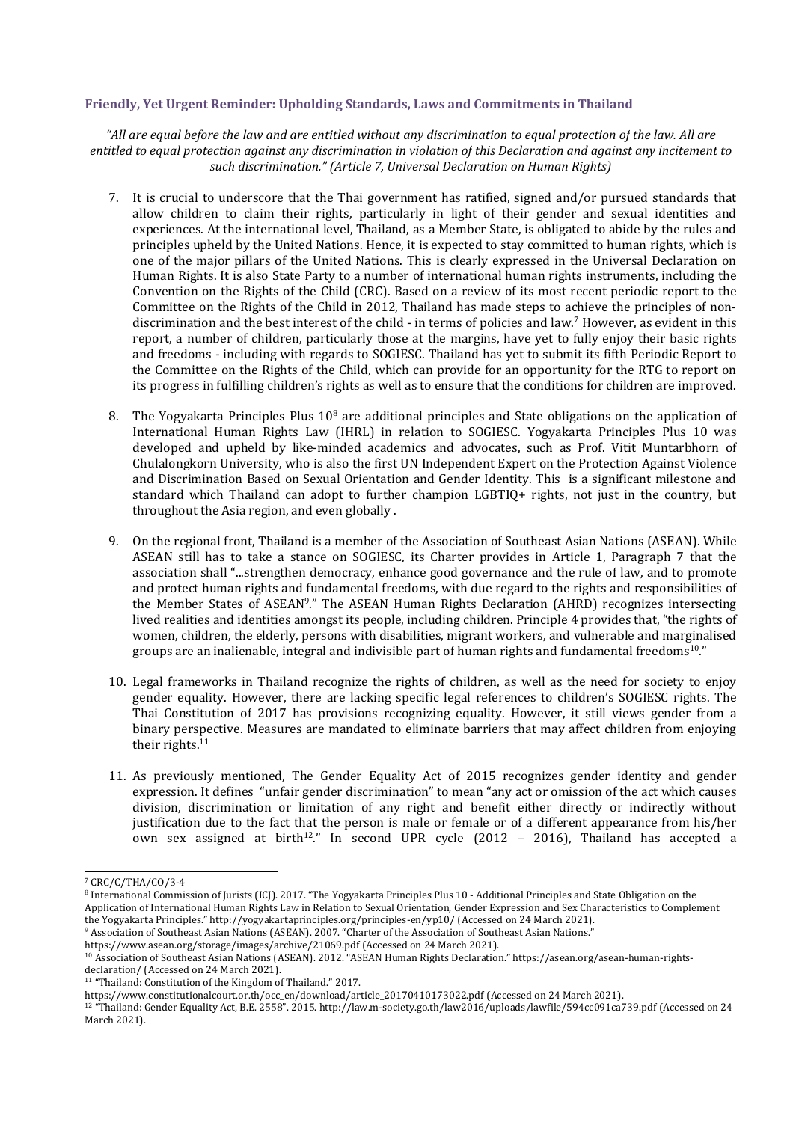## **Friendly, Yet Urgent Reminder: Upholding Standards, Laws and Commitments in Thailand**

"All are equal before the law and are entitled without any discrimination to equal protection of the law. All are entitled to equal protection against any discrimination in violation of this Declaration and against any incitement to *such discrimination." (Article 7, Universal Declaration on Human Rights)*

- 7. It is crucial to underscore that the Thai governmen<sup>t</sup> has ratified, signed and/or pursued standards that allow children to claim their rights, particularly in light of their gender and sexual identities and experiences. At the international level, Thailand, as <sup>a</sup> Member State, is obligated to abide by the rules and principles upheld by the United Nations. Hence, it is expected to stay committed to human rights, which is one of the major pillars of the United Nations. This is clearly expressed in the Universal Declaration on Human Rights. It is also State Party to <sup>a</sup> number of international human rights instruments, including the Convention on the Rights of the Child (CRC). Based on <sup>a</sup> review of its most recent periodic report to the Committee on the Rights of the Child in 2012, Thailand has made steps to achieve the principles of nondiscrimination and the best interest of the child - in terms of policies and law. <sup>7</sup> However, as evident in this report, <sup>a</sup> number of children, particularly those at the margins, have yet to fully enjoy their basic rights and freedoms - including with regards to SOGIESC. Thailand has yet to submit its fifth Periodic Report to the Committee on the Rights of the Child, which can provide for an opportunity for the RTG to report on its progress in fulfilling children'<sup>s</sup> rights as well as to ensure that the conditions for children are improved.
- 8. The Yogyakarta Principles Plus 10<sup>8</sup> are additional principles and State obligations on the application of International Human Rights Law (IHRL) in relation to SOGIESC. Yogyakarta Principles Plus 10 was developed and upheld by like-minded academics and advocates, such as Prof. Vitit Muntarbhorn of Chulalongkorn University, who is also the first UN Independent Expert on the Protection Against Violence and Discrimination Based on Sexual Orientation and Gender Identity. This is <sup>a</sup> significant milestone and standard which Thailand can adopt to further champion LGBTIQ+ rights, not just in the country, but throughout the Asia region, and even globally .
- 9. On the regional front, Thailand is <sup>a</sup> member of the Association of Southeast Asian Nations (ASEAN). While ASEAN still has to take <sup>a</sup> stance on SOGIESC, its Charter provides in Article 1, Paragraph 7 that the association shall "...strengthen democracy, enhance good governance and the rule of law, and to promote and protect human rights and fundamental freedoms, with due regard to the rights and responsibilities of the Member States of ASEAN<sup>9</sup>." The ASEAN Human Rights Declaration (AHRD) recognizes intersecting lived realities and identities amongs<sup>t</sup> its people, including children. Principle 4 provides that, "the rights of women, children, the elderly, persons with disabilities, migrant workers, and vulnerable and marginalised groups are an inalienable, integral and indivisible part of human rights and fundamental freedoms $^{10."}$
- 10. Legal frameworks in Thailand recognize the rights of children, as well as the need for society to enjoy gender equality. However, there are lacking specific legal references to children'<sup>s</sup> SOGIESC rights. The Thai Constitution of 2017 has provisions recognizing equality. However, it still views gender from <sup>a</sup> binary perspective. Measures are mandated to eliminate barriers that may affect children from enjoying their rights  $^{\rm 11}$
- 11. As previously mentioned, The Gender Equality Act of 2015 recognizes gender identity and gender expression. It defines "unfair gender discrimination" to mean "any act or omission of the act which causes division, discrimination or limitation of any right and benefit either directly or indirectly without justification due to the fact that the person is male or female or of <sup>a</sup> different appearance from his/her own sex assigned at birth $^{12}$ ." In second UPR cycle (2012 – 2016), Thailand has accepted a

12 "Thailand: Gender Equality Act, B.E. 2558". 2015. http://law.m-society.go.th/law2016/uploads/lawfile/594cc091ca739.pdf (Accessed on 24 March 2021).

<sup>7</sup> CRC/C/THA/CO/3-4

<sup>&</sup>lt;sup>8</sup> International Commission of Jurists (ICJ). 2017. "The Yogyakarta Principles Plus 10 - Additional Principles and State Obligation on the Application of International Human Rights Law in Relation to Sexual Orientation, Gender Expression and Sex Characteristics to Complement the Yogyakarta Principles." http://yogyakartaprinciples.org/principles-en/yp10/ (Accessed on 24 March 2021).

<sup>9</sup> Association of Southeast Asian Nations (ASEAN). 2007. "Charter of the Association of Southeast Asian Nations."

https://www.asean.org/storage/images/archive/21069.pdf (Accessed on 24 March 2021).

<sup>10</sup> Association of Southeast Asian Nations (ASEAN). 2012. "ASEAN Human Rights Declaration." https://asean.org/asean-human-rightsdeclaration/ (Accessed on 24 March 2021).

<sup>&</sup>lt;sup>11</sup> "Thailand: Constitution of the Kingdom of Thailand." 2017.

https://www.constitutionalcourt.or.th/occ\_en/download/article\_20170410173022.pdf (Accessed on 24 March 2021).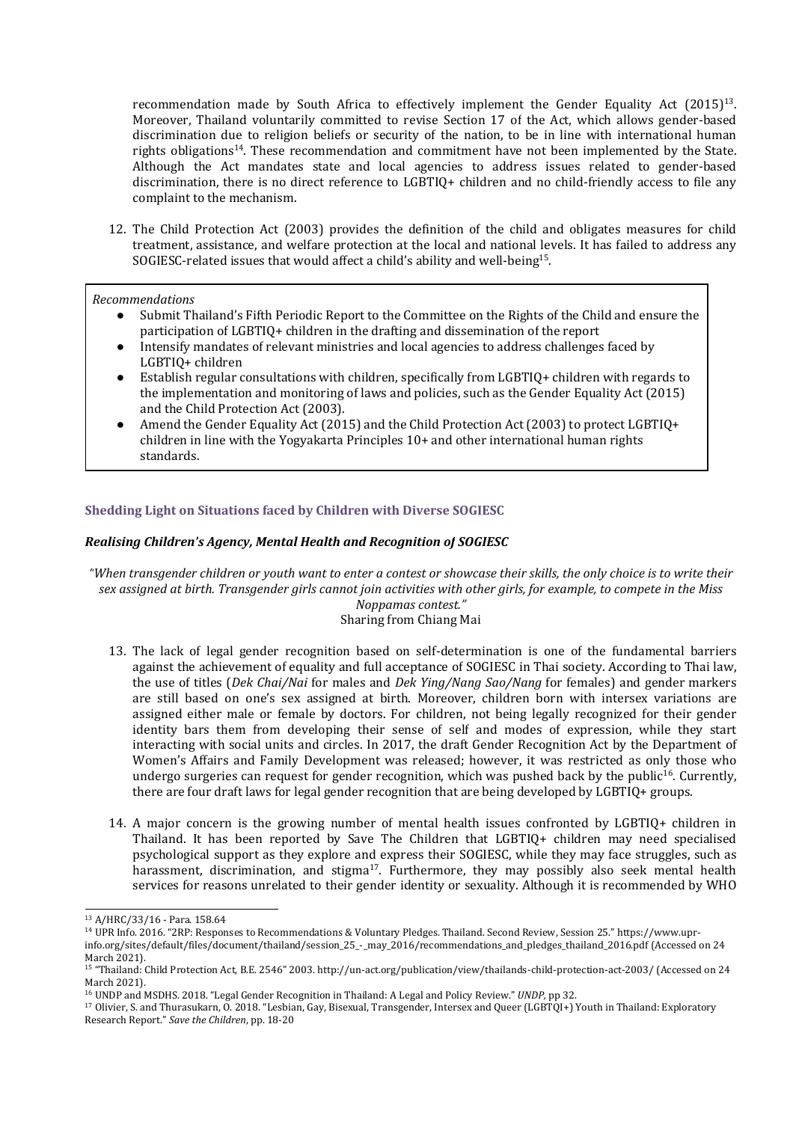recommendation made by South Africa to effectively implement the Gender Equality Act (2015) $^{\rm 13}$ . Moreover, Thailand voluntarily committed to revise Section 17 of the Act, which allows gender-based discrimination due to religion beliefs or security of the nation, to be in line with international human rights obligations<sup>14</sup>. These recommendation and commitment have not been implemented by the State. Although the Act mandates state and local agencies to address issues related to gender-based discrimination, there is no direct reference to LGBTIQ+ children and no child-friendly access to file any complaint to the mechanism.

12. The Child Protection Act (2003) provides the definition of the child and obligates measures for child treatment, assistance, and welfare protection at the local and national levels. It has failed to address any SOGIESC-related issues that would affect a child's ability and well-being $^{\rm 15}$ .

### *Recommendations*

- ● Submit Thailand'<sup>s</sup> Fifth Periodic Report to the Committee on the Rights of the Child and ensure the participation of LGBTIQ+ children in the drafting and dissemination of the report
- ● Intensify mandates of relevant ministries and local agencies to address challenges faced by LGBTIQ+ children
- ● Establish regular consultations with children, specifically from LGBTIQ+ children with regards to the implementation and monitoring of laws and policies, such as the Gender Equality Act (2015) and the Child Protection Act (2003).
- ● Amend the Gender Equality Act (2015) and the Child Protection Act (2003) to protect LGBTIQ+ children in line with the Yogyakarta Principles 10+ and other international human rights standards.

## **Shedding Light on Situations faced by Children with Diverse SOGIESC**

## *Realising Children'<sup>s</sup> Agency, Mental Health and Recognition of SOGIESC*

"When transgender children or youth want to enter a contest or showcase their skills, the only choice is to write their sex assigned at birth. Transgender girls cannot join activities with other girls, for example, to compete in the Miss *Noppamas contest."* Sharing from Chiang Mai

- 13. The lack of legal gender recognition based on self-determination is one of the fundamental barriers against the achievement of equality and full acceptance of SOGIESC in Thai society. According to Thai law, the use of titles (*Dek Chai/Nai* for males and *Dek Ying/Nang Sao/Nang* for females) and gender markers are still based on one'<sup>s</sup> sex assigned at birth. Moreover, children born with intersex variations are assigned either male or female by doctors. For children, not being legally recognized for their gender identity bars them from developing their sense of self and modes of expression, while they start interacting with social units and circles. In 2017, the draft Gender Recognition Act by the Department of Women'<sup>s</sup> Affairs and Family Development was released; however, it was restricted as only those who undergo surgeries can request for gender recognition, which was pushed back by the public 16 . Currently, there are four draft laws for legal gender recognition that are being developed by LGBTIQ+ groups.
- 14. A major concern is the growing number of mental health issues confronted by LGBTIQ+ children in Thailand. It has been reported by Save The Children that LGBTIQ+ children may need specialised psychological support as they explore and express their SOGIESC, while they may face struggles, such as harassment, discrimination, and stigma<sup>17</sup>. Furthermore, they may possibly also seek mental health services for reasons unrelated to their gender identity or sexuality. Although it is recommended by WHO

<sup>13</sup> A/HRC/33/16 - Para. 158.64

<sup>14</sup> UPR Info. 2016. "2RP: Responses to Recommendations & Voluntary Pledges. Thailand. Second Review, Session 25." https://www.upr-

info.org/sites/default/files/document/thailand/session\_25\_-\_may\_2016/recommendations\_and\_pledges\_thailand\_2016.pdf (Accessed on 24 March 2021).

<sup>15</sup> "Thailand: Child Protection Act, B.E. 2546" 2003. http://un-act.org/publication/view/thailands-child-protection-act-2003/ (Accessed on 24 March 2021).

<sup>16</sup> UNDP and MSDHS. 2018. "Legal Gender Recognition in Thailand: A Legal and Policy Review." *UNDP,* pp 32.

<sup>&</sup>lt;sup>17</sup> Olivier, S. and Thurasukarn, O. 2018. "Lesbian, Gay, Bisexual, Transgender, Intersex and Queer (LGBTQI+) Youth in Thailand: Exploratory Research Report." *Save the Children*, pp. 18-20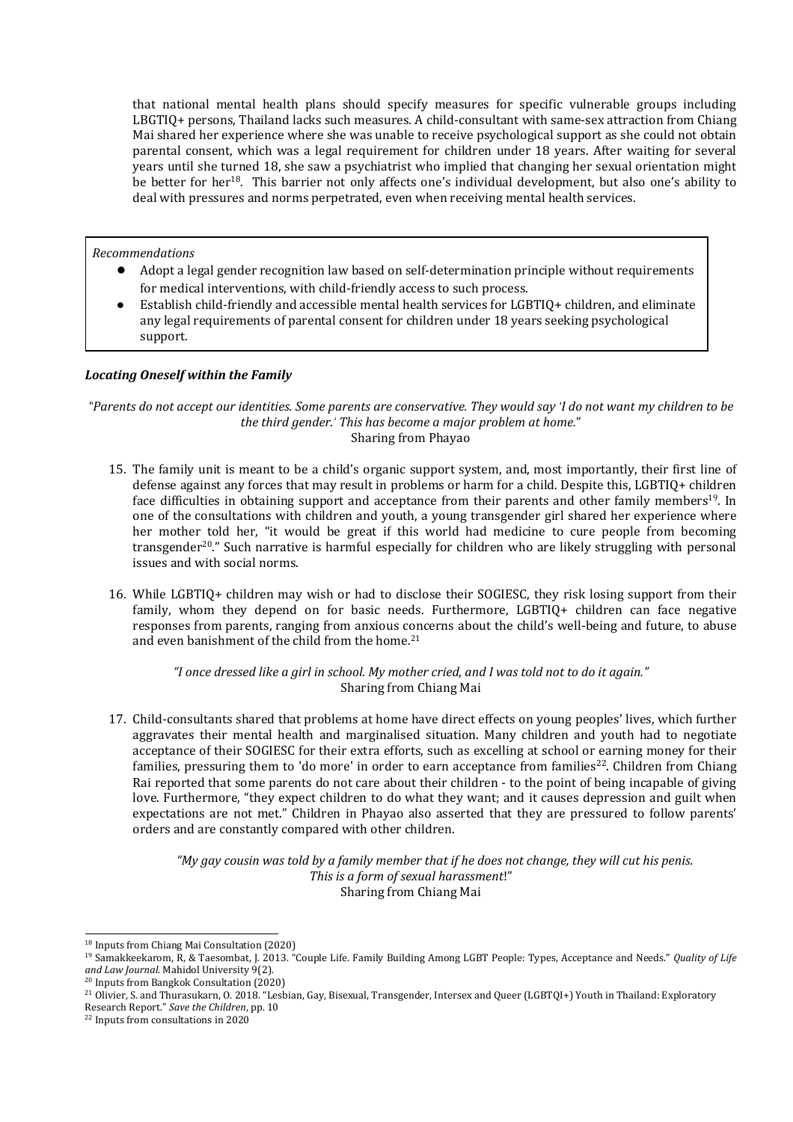that national mental health plans should specify measures for specific vulnerable groups including LBGTIQ+ persons, Thailand lacks such measures. Achild-consultant with same-sex attraction from Chiang Mai shared her experience where she was unable to receive psychological support as she could not obtain parental consent, which was <sup>a</sup> legal requirement for children under 18 years. After waiting for several years until she turned 18, she saw <sup>a</sup> psychiatrist who implied that changing her sexual orientation might be better for her<sup>18</sup>. This barrier not only affects one's individual development, but also one's ability to deal with pressures and norms perpetrated, even when receiving mental health services.

*Recommendations*

- ● Adopt <sup>a</sup> legal gender recognition law based on self-determination principle without requirements for medical interventions, with child-friendly access to such process.
- ● Establish child-friendly and accessible mental health services for LGBTIQ+ children, and eliminate any legal requirements of parental consent for children under 18 years seeking psychological support.

## *Locating Oneself within the Family*

"Parents do not accept our identities. Some parents are conservative. They would say 'I do not want my children to be *the third gender.' This has become <sup>a</sup> major problem at home.*" Sharing from Phayao

- 15. The family unit is meant to be <sup>a</sup> child'<sup>s</sup> organic support system, and, most importantly, their first line of defense against any forces that may result in problems or harm for <sup>a</sup> child. Despite this, LGBTIQ+ children face difficulties in obtaining support and acceptance from their parents and other family members<sup>19</sup>. In one of the consultations with children and youth, <sup>a</sup> young transgender girl shared her experience where her mother told her, "it would be grea<sup>t</sup> if this world had medicine to cure people from becoming transgender<sup>20</sup>." Such narrative is harmful especially for children who are likely struggling with personal issues and with social norms.
- 16. While LGBTIQ+ children may wish or had to disclose their SOGIESC, they risk losing support from their family, whom they depend on for basic needs. Furthermore, LGBTIQ+ children can face negative responses from parents, ranging from anxious concerns about the child'<sup>s</sup> well-being and future, to abuse and even banishment of the child from the home.<sup>21</sup>

"I once dressed like a girl in school. My mother cried, and I was told not to do it again." Sharing from Chiang Mai

17. Child-consultants shared that problems at home have direct effects on young peoples' lives, which further aggravates their mental health and marginalised situation. Many children and youth had to negotiate acceptance of their SOGIESC for their extra efforts, such as excelling at school or earning money for their families, pressuring them to 'do more' in order to earn acceptance from families<sup>22</sup>. Children from Chiang Rai reported that some parents do not care about their children - to the point of being incapable of giving love. Furthermore, "they expect children to do what they want; and it causes depression and guilt when expectations are not met." Children in Phayao also asserted that they are pressured to follow parents' orders and are constantly compared with other children.

> "My gay cousin was told by a family member that if he does not change, they will cut his penis. *This is <sup>a</sup> form of sexual harassment*!" Sharing from Chiang Mai

<sup>18</sup> Inputs from Chiang Mai Consultation (2020)

<sup>19</sup> Samakkeekarom, R, &Taesombat, J. 2013. "Couple Life. Family Building Among LGBT People: Types, Acceptance and Needs." *Quality of Life and Law Journal.* Mahidol University 9(2).

<sup>20</sup> Inputs from Bangkok Consultation (2020)

<sup>&</sup>lt;sup>21</sup> Olivier, S. and Thurasukarn, O. 2018. "Lesbian, Gay, Bisexual, Transgender, Intersex and Queer (LGBTQI+) Youth in Thailand: Exploratory

Research Report." *Save the Children*, pp. 10

<sup>&</sup>lt;sup>22</sup> Inputs from consultations in 2020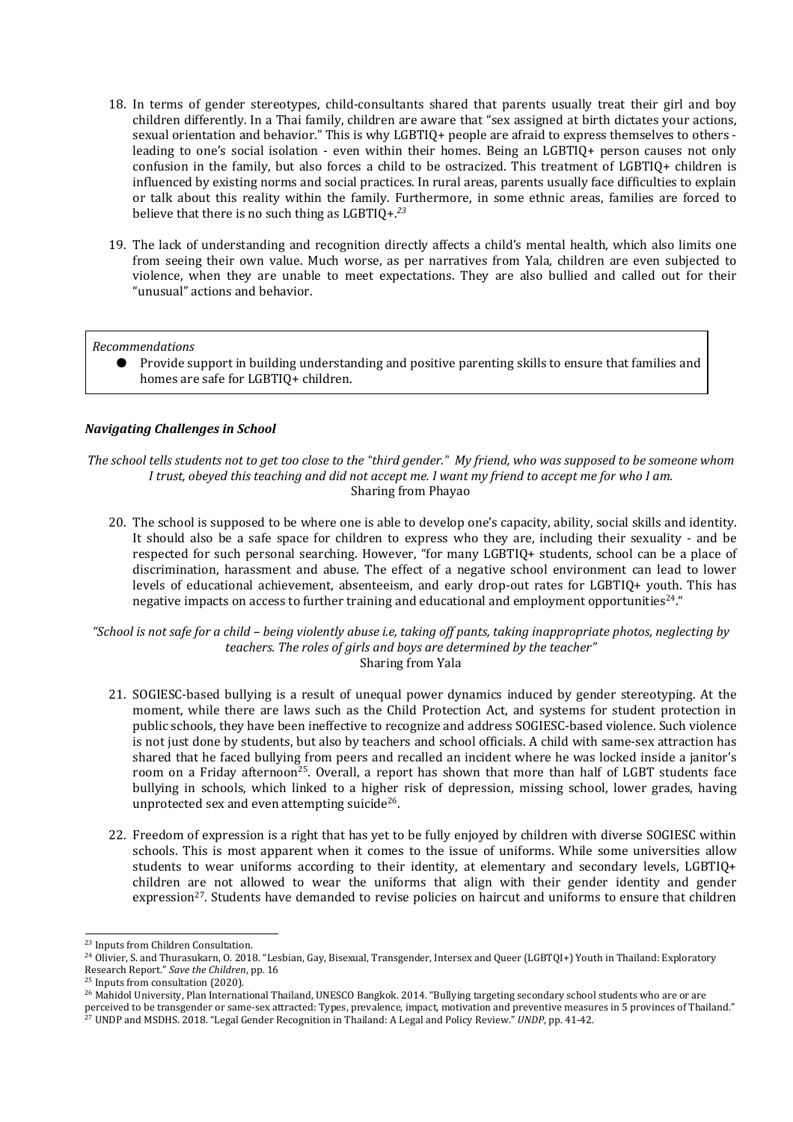- 18. In terms of gender stereotypes, child-consultants shared that parents usually treat their girl and boy children differently. In <sup>a</sup> Thai family, children are aware that "sex assigned at birth dictates your actions, sexual orientation and behavior." This is why LGBTIQ+ people are afraid to express themselves to others leading to one'<sup>s</sup> social isolation - even within their homes. Being an LGBTIQ+ person causes not only confusion in the family, but also forces <sup>a</sup> child to be ostracized. This treatment of LGBTIQ+ children is influenced by existing norms and social practices. In rural areas, parents usually face difficulties to explain or talk about this reality within the family. Furthermore, in some ethnic areas, families are forced to believe that there is no such thing as LGBTIQ+. *23*
- 19. The lack of understanding and recognition directly affects <sup>a</sup> child'<sup>s</sup> mental health, which also limits one from seeing their own value. Much worse, as per narratives from Yala, children are even subjected to violence, when they are unable to meet expectations. They are also bullied and called out for their "unusual" actions and behavior.

## *Recommendations*

● Provide support in building understanding and positive parenting skills to ensure that families and homes are safe for LGBTIQ+ children.

# *Navigating Challenges in School*

The school tells students not to get too close to the "third gender." My friend, who was supposed to be someone whom I trust, obeyed this teaching and did not accept me. I want my friend to accept me for who I am. Sharing from Phayao

20. The school is supposed to be where one is able to develop one'<sup>s</sup> capacity, ability, social skills and identity. It should also be <sup>a</sup> safe space for children to express who they are, including their sexuality - and be respected for such personal searching. However, "for many LGBTIQ+ students, school can be <sup>a</sup> place of discrimination, harassment and abuse. The effect of <sup>a</sup> negative school environment can lead to lower levels of educational achievement, absenteeism, and early drop-out rates for LGBTIQ+ youth. This has negative impacts on access to further training and educational and employment opportunities $^{24,^{\prime\prime}}$ 

"School is not safe for a child – being violently abuse i.e, taking off pants, taking inappropriate photos, neglecting by *teachers. The roles of girls and boys are determined by the teacher"* Sharing from Yala

- 21. SOGIESC-based bullying is <sup>a</sup> result of unequal power dynamics induced by gender stereotyping. At the moment, while there are laws such as the Child Protection Act, and systems for student protection in public schools, they have been ineffective to recognize and address SOGIESC-based violence. Such violence is not just done by students, but also by teachers and school officials. Achild with same-sex attraction has shared that he faced bullying from peers and recalled an incident where he was locked inside <sup>a</sup> janitor'<sup>s</sup> room on a Friday afternoon<sup>25</sup>. Overall, a report has shown that more than half of LGBT students face bullying in schools, which linked to <sup>a</sup> higher risk of depression, missing school, lower grades, having unprotected sex and even attempting suicide $^{26}\!$ .
- 22. Freedom of expression is <sup>a</sup> right that has yet to be fully enjoyed by children with diverse SOGIESC within schools. This is most apparent when it comes to the issue of uniforms. While some universities allow students to wear uniforms according to their identity, at elementary and secondary levels, LGBTIQ+ children are not allowed to wear the uniforms that align with their gender identity and gender expression<sup>27</sup>. Students have demanded to revise policies on haircut and uniforms to ensure that children

<sup>&</sup>lt;sup>23</sup> Inputs from Children Consultation.

<sup>&</sup>lt;sup>24</sup> Olivier, S. and Thurasukarn, O. 2018. "Lesbian, Gay, Bisexual, Transgender, Intersex and Queer (LGBTQI+) Youth in Thailand: Exploratory Research Report." *Save the Children*, pp. 16

<sup>&</sup>lt;sup>25</sup> Inputs from consultation (2020).

<sup>&</sup>lt;sup>26</sup> Mahidol University, Plan International Thailand, UNESCO Bangkok. 2014. "Bullying targeting secondary school students who are or are

perceived to be transgender or same-sex attracted: Types, prevalence, impact, motivation and preventive measures in 5 provinces of Thailand."<br><sup>27</sup> UNDP and MSDHS. 2018. "Legal Gender Recognition in Thailand: A Legal and Po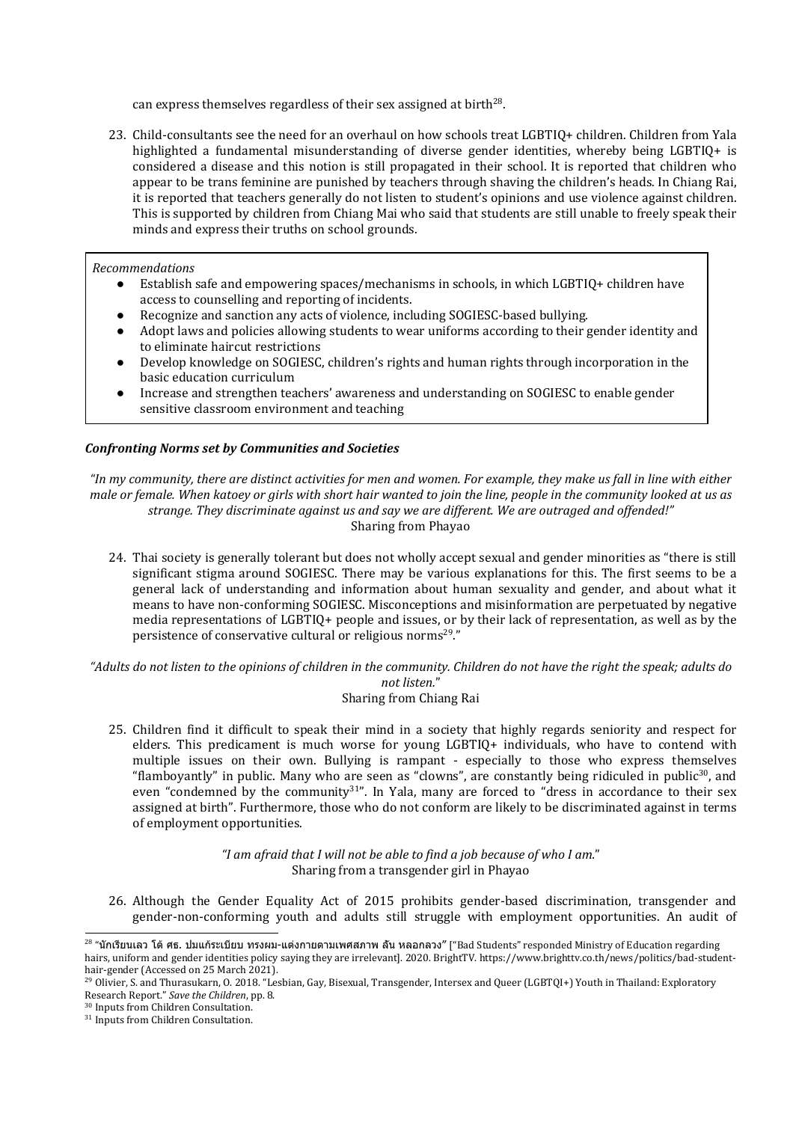can express themselves regardless of their sex assigned at birth $^{28}\!$ .

23. Child-consultants see the need for an overhaul on how schools treat LGBTIQ+ children. Children from Yala highlighted a fundamental misunderstanding of diverse gender identities, whereby being LGBTIQ+ is considered <sup>a</sup> disease and this notion is still propagated in their school. It is reported that children who appear to be trans feminine are punished by teachers through shaving the children'<sup>s</sup> heads. In Chiang Rai, it is reported that teachers generally do not listen to student'<sup>s</sup> opinions and use violence against children. This is supported by children from Chiang Mai who said that students are still unable to freely speak their minds and express their truths on school grounds.

*Recommendations*

- Establish safe and empowering spaces/mechanisms in schools, in which LGBTIQ+ children have access to counselling and reporting of incidents.
	- ●Recognize and sanction any acts of violence, including SOGIESC-based bullying.
	- ● Adopt laws and policies allowing students to wear uniforms according to their gender identity and to eliminate haircut restrictions
	- ● Develop knowledge on SOGIESC, children'<sup>s</sup> rights and human rights through incorporation in the basic education curriculum
	- ● Increase and strengthen teachers' awareness and understanding on SOGIESC to enable gender sensitive classroom environment and teaching

# *Confronting Norms set by Communities and Societies*

"In my community, there are distinct activities for men and women. For example, they make us fall in line with either male or female. When katoey or girls with short hair wanted to join the line, people in the community looked at us as *strange. They discriminate against us and say we are different. We are outraged and offended!"* Sharing from Phayao

24. Thai society is generally tolerant but does not wholly accept sexual and gender minorities as "there is still significant stigma around SOGIESC. There may be various explanations for this. The first seems to be <sup>a</sup> general lack of understanding and information about human sexuality and gender, and about what it means to have non-conforming SOGIESC. Misconceptions and misinformation are perpetuated by negative media representations of LGBTIQ+ people and issues, or by their lack of representation, as well as by the persistence of conservative cultural or religious norms<sup>29</sup>."

"Adults do not listen to the opinions of children in the community. Children do not have the right the speak; adults do *not listen.*"

- Sharing from Chiang Rai
- 25. Children find it difficult to speak their mind in <sup>a</sup> society that highly regards seniority and respect for elders. This predicament is much worse for young LGBTIQ+ individuals, who have to contend with multiple issues on their own. Bullying is rampant - especially to those who express themselves "flamboyantly" in public. Many who are seen as "clowns", are constantly being ridiculed in public $^{\rm 30}$ , and even "condemned by the community<sup>31</sup>". In Yala, many are forced to "dress in accordance to their sex assigned at birth". Furthermore, those who do not conform are likely to be discriminated against in terms of employment opportunities.

*"I am afraid that I will not be able to find <sup>a</sup> job because of who I am.*" Sharing from <sup>a</sup> transgender girl in Phayao

26. Although the Gender Equality Act of 2015 prohibits gender-based discrimination, transgender and gender-non-conforming youth and adults still struggle with employment opportunities. An audit of

<sup>&</sup>lt;sup>28</sup> "นักเรียนเลว โต้ ศธ. ปมแก้ระเบียบ ทรงผม-แต่งกายตามเพศสภาพ ลัน หลอกลวง" ["Bad Students" responded Ministry of Education regarding hairs, uniform and gender identities policy saying they are irrelevant]. 2020. BrightTV. https://www.brighttv.co.th/news/politics/bad-studenthair-gender (Accessed on 25 March 2021).

<sup>&</sup>lt;sup>29</sup> Olivier, S. and Thurasukarn, O. 2018. "Lesbian, Gay, Bisexual, Transgender, Intersex and Queer (LGBTQI+) Youth in Thailand: Exploratory Research Report." *Save the Children*, pp. 8.

<sup>30</sup> Inputs from Children Consultation.

<sup>&</sup>lt;sup>31</sup> Inputs from Children Consultation.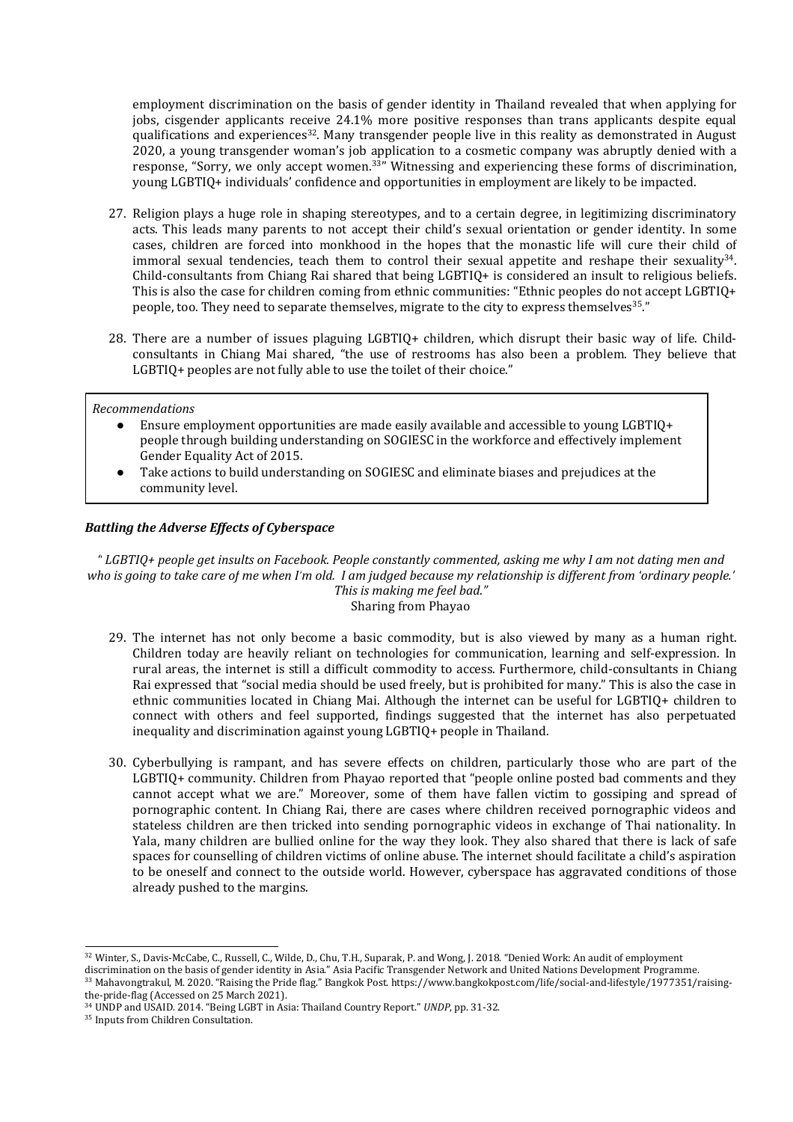employment discrimination on the basis of gender identity in Thailand revealed that when applying for jobs, cisgender applicants receive 24.1% more positive responses than trans applicants despite equal qualifications and experiences<sup>32</sup>. Many transgender people live in this reality as demonstrated in August 2020, <sup>a</sup> young transgender woman'<sup>s</sup> job application to <sup>a</sup> cosmetic company was abruptly denied with <sup>a</sup> response, "Sorry, we only accept women.<sup>33</sup>" Witnessing and experiencing these forms of discrimination, young LGBTIQ+ individuals' confidence and opportunities in employment are likely to be impacted.

- 27. Religion plays <sup>a</sup> huge role in shaping stereotypes, and to <sup>a</sup> certain degree, in legitimizing discriminatory acts. This leads many parents to not accept their child'<sup>s</sup> sexual orientation or gender identity. In some cases, children are forced into monkhood in the hopes that the monastic life will cure their child of immoral sexual tendencies, teach them to control their sexual appetite and reshape their sexuality $^{34}$ . Child-consultants from Chiang Rai shared that being LGBTIQ+ is considered an insult to religious beliefs. This is also the case for children coming from ethnic communities: "Ethnic peoples do not accept LGBTIQ+ people, too. They need to separate themselves, migrate to the city to express themselves $^{\rm 35,''}$
- 28. There are <sup>a</sup> number of issues plaguing LGBTIQ+ children, which disrupt their basic way of life. Childconsultants in Chiang Mai shared, "the use of restrooms has also been <sup>a</sup> problem. They believe that LGBTIQ+ peoples are not fully able to use the toilet of their choice."

### *Recommendations*

- ● Ensure employment opportunities are made easily available and accessible to young LGBTIQ+ people through building understanding on SOGIESC in the workforce and effectively implement Gender Equality Act of 2015.
- ● Take actions to build understanding on SOGIESC and eliminate biases and prejudices at the community level.

## *Battling the Adverse Effects of Cyberspace*

LGBTIQ+ people get insults on Facebook. People constantly commented, asking me why I am not dating men and " who is going to take care of me when I'm old. I am judged because my relationship is different from 'ordinary people.' *This is making me feel bad."* Sharing from Phayao

- 29. The internet has not only become <sup>a</sup> basic commodity, but is also viewed by many as <sup>a</sup> human right. Children today are heavily reliant on technologies for communication, learning and self-expression. In rural areas, the internet is still <sup>a</sup> difficult commodity to access. Furthermore, child-consultants in Chiang Rai expressed that "social media should be used freely, but is prohibited for many." This is also the case in ethnic communities located in Chiang Mai. Although the internet can be useful for LGBTIQ+ children to connect with others and feel supported, findings suggested that the internet has also perpetuated inequality and discrimination against young LGBTIQ+ people in Thailand.
- 30. Cyberbullying is rampant, and has severe effects on children, particularly those who are part of the LGBTIQ+ community. Children from Phayao reported that "people online posted bad comments and they cannot accept what we are." Moreover, some of them have fallen victim to gossiping and spread of pornographic content. In Chiang Rai, there are cases where children received pornographic videos and stateless children are then tricked into sending pornographic videos in exchange of Thai nationality. In Yala, many children are bullied online for the way they look. They also shared that there is lack of safe spaces for counselling of children victims of online abuse. The internet should facilitate <sup>a</sup> child'<sup>s</sup> aspiration to be oneself and connect to the outside world. However, cyberspace has aggravated conditions of those already pushed to the margins.

<sup>32</sup> Winter, S., Davis-McCabe, C., Russell, C., Wilde, D., Chu, T.H., Suparak, P. and Wong, J. 2018. "Denied Work: An audit of employment

discrimination on the basis of gender identity in Asia." Asia Pacific Transgender Network and United Nations Development Programme.

<sup>33</sup> Mahavongtrakul, M. 2020. "Raising the Pride flag." Bangkok Post. https://www.bangkokpost.com/life/social-and-lifestyle/1977351/raisingthe-pride-flag (Accessed on 25 March 2021).

<sup>34</sup> UNDP and USAID. 2014. "Being LGBT in Asia: Thailand Country Report." *UNDP*, pp. 31-32.

<sup>&</sup>lt;sup>35</sup> Inputs from Children Consultation.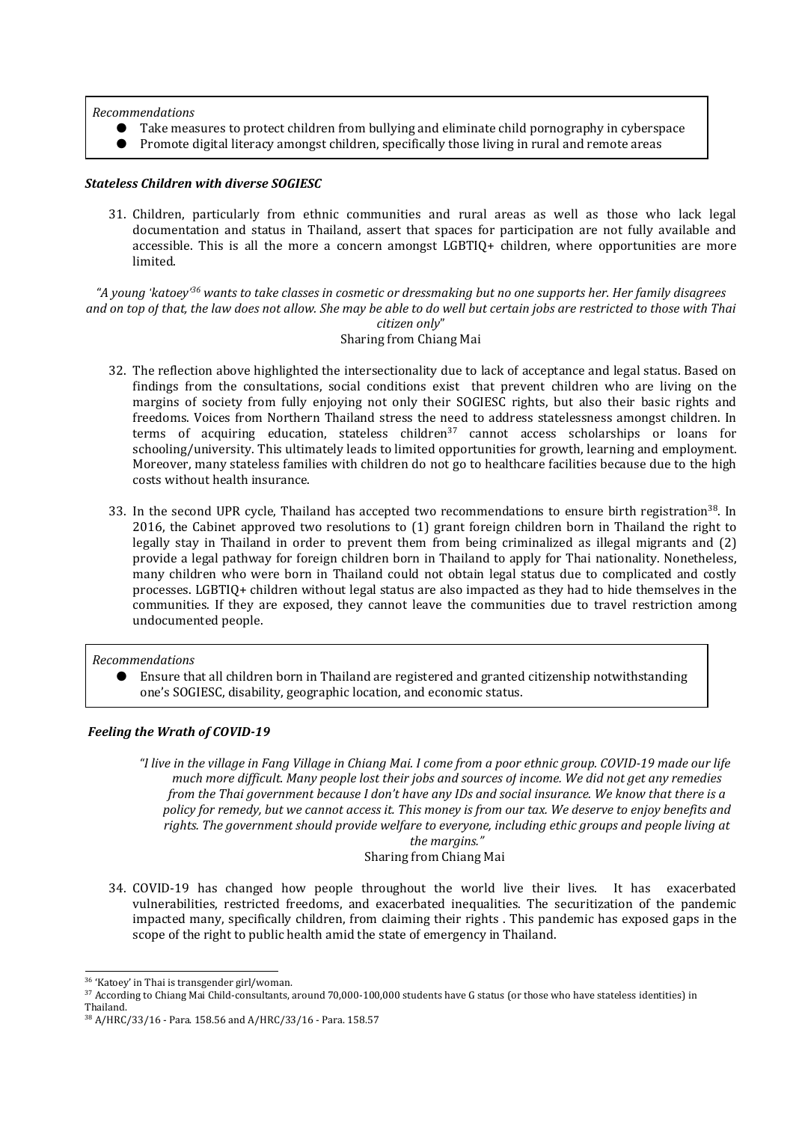*Recommendations*

- Take measures to protect children from bullying and eliminate child pornography in cyberspace
- Promote digital literacy amongst children, specifically those living in rural and remote areas

## *Stateless Children with diverse SOGIESC*

31. Children, particularly from ethnic communities and rural areas as well as those who lack legal documentation and status in Thailand, assert that spaces for participation are not fully available and accessible. This is all the more <sup>a</sup> concern amongs<sup>t</sup> LGBTIQ+ children, where opportunities are more limited.

"A young 'katoey'<sup>36</sup> wants to take classes in cosmetic or dressmaking but no one supports her. Her family disagrees and on top of that, the law does not allow. She may be able to do well but certain jobs are restricted to those with Thai *citizen only*"

Sharing from Chiang Mai

- 32. The reflection above highlighted the intersectionality due to lack of acceptance and legal status. Based on findings from the consultations, social conditions exist that prevent children who are living on the margins of society from fully enjoying not only their SOGIESC rights, but also their basic rights and freedoms. Voices from Northern Thailand stress the need to address statelessness amongs<sup>t</sup> children. In terms of acquiring education, stateless children<sup>37</sup> cannot access scholarships or loans for schooling/university. This ultimately leads to limited opportunities for growth, learning and employment. Moreover, many stateless families with children do not go to healthcare facilities because due to the high costs without health insurance.
- 33. In the second UPR cycle, Thailand has accepted two recommendations to ensure birth registration $^{38}$ . In 2016, the Cabinet approved two resolutions to (1) gran<sup>t</sup> foreign children born in Thailand the right to legally stay in Thailand in order to prevent them from being criminalized as illegal migrants and (2) provide <sup>a</sup> legal pathway for foreign children born in Thailand to apply for Thai nationality. Nonetheless, many children who were born in Thailand could not obtain legal status due to complicated and costly processes. LGBTIQ+ children without legal status are also impacted as they had to hide themselves in the communities. If they are exposed, they cannot leave the communities due to travel restriction among undocumented people.

## *Recommendations*

● Ensure that all children born in Thailand are registered and granted citizenship notwithstanding one'<sup>s</sup> SOGIESC, disability, geographic location, and economic status.

# *Feeling the Wrath of COVID-19*

"I live in the village in Fang Village in Chiang Mai. I come from a poor ethnic group. COVID-19 made our life much more difficult. Many people lost their jobs and sources of income. We did not get any remedies from the Thai government because I don't have any IDs and social insurance. We know that there is a policy for remedy, but we cannot access it. This money is from our tax. We deserve to enjoy benefits and rights. The government should provide welfare to everyone, including ethic groups and people living at *the margins."*

Sharing from Chiang Mai

34. COVID-19 has changed how people throughout the world live their lives. It has exacerbated vulnerabilities, restricted freedoms, and exacerbated inequalities. The securitization of the pandemic impacted many, specifically children, from claiming their rights . This pandemic has exposed gaps in the scope of the right to public health amid the state of emergency in Thailand.

<sup>&</sup>lt;sup>36</sup> 'Katoey' in Thai is transgender girl/woman.

 $\rm{^{37}}$  According to Chiang Mai Child-consultants, around 70,000-100,000 students have G status (or those who have stateless identities) in Thailand.

<sup>38</sup> A/HRC/33/16 - Para. 158.56 and A/HRC/33/16 - Para. 158.57